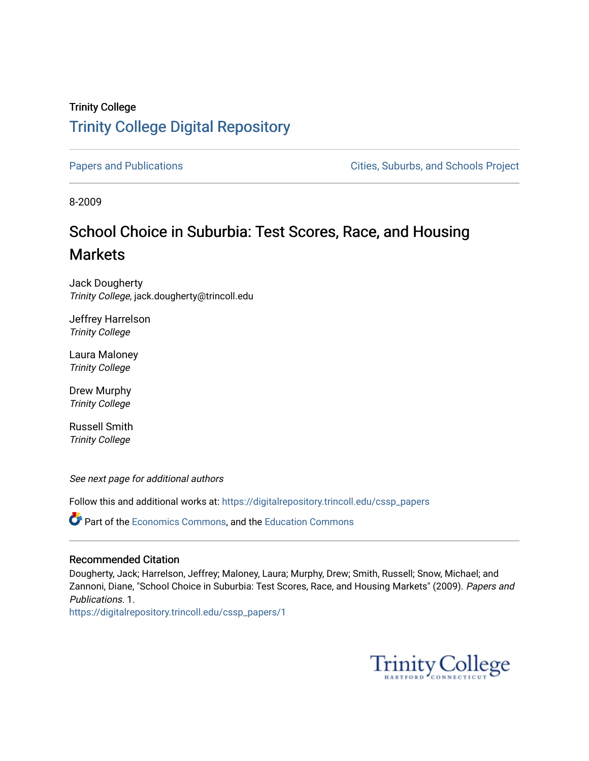## Trinity College [Trinity College Digital Repository](https://digitalrepository.trincoll.edu/)

[Papers and Publications](https://digitalrepository.trincoll.edu/cssp_papers) **Papers** and Publications **Cities**, Suburbs, and Schools Project

8-2009

# School Choice in Suburbia: Test Scores, Race, and Housing **Markets**

Jack Dougherty Trinity College, jack.dougherty@trincoll.edu

Jeffrey Harrelson Trinity College

Laura Maloney Trinity College

Drew Murphy Trinity College

Russell Smith Trinity College

See next page for additional authors

Follow this and additional works at: [https://digitalrepository.trincoll.edu/cssp\\_papers](https://digitalrepository.trincoll.edu/cssp_papers?utm_source=digitalrepository.trincoll.edu%2Fcssp_papers%2F1&utm_medium=PDF&utm_campaign=PDFCoverPages) 

**P** Part of the [Economics Commons](http://network.bepress.com/hgg/discipline/340?utm_source=digitalrepository.trincoll.edu%2Fcssp_papers%2F1&utm_medium=PDF&utm_campaign=PDFCoverPages), and the [Education Commons](http://network.bepress.com/hgg/discipline/784?utm_source=digitalrepository.trincoll.edu%2Fcssp_papers%2F1&utm_medium=PDF&utm_campaign=PDFCoverPages)

## Recommended Citation

Dougherty, Jack; Harrelson, Jeffrey; Maloney, Laura; Murphy, Drew; Smith, Russell; Snow, Michael; and Zannoni, Diane, "School Choice in Suburbia: Test Scores, Race, and Housing Markets" (2009). Papers and Publications. 1.

[https://digitalrepository.trincoll.edu/cssp\\_papers/1](https://digitalrepository.trincoll.edu/cssp_papers/1?utm_source=digitalrepository.trincoll.edu%2Fcssp_papers%2F1&utm_medium=PDF&utm_campaign=PDFCoverPages) 

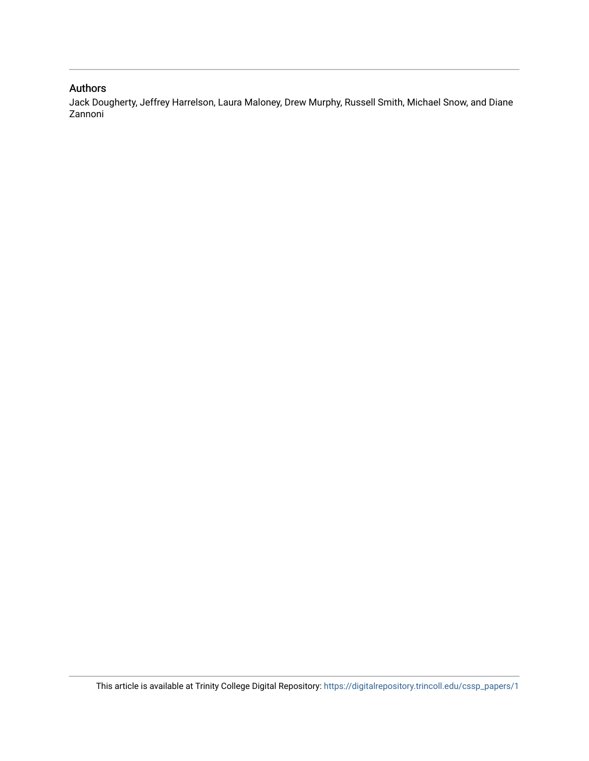### Authors

Jack Dougherty, Jeffrey Harrelson, Laura Maloney, Drew Murphy, Russell Smith, Michael Snow, and Diane Zannoni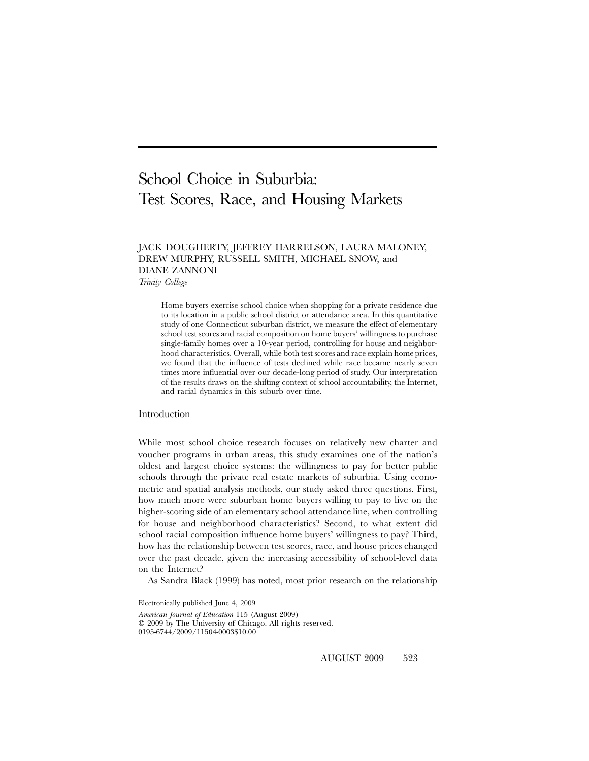# School Choice in Suburbia: Test Scores, Race, and Housing Markets

## JACK DOUGHERTY, JEFFREY HARRELSON, LAURA MALONEY, DREW MURPHY, RUSSELL SMITH, MICHAEL SNOW, and DIANE ZANNONI

*Trinity College*

Home buyers exercise school choice when shopping for a private residence due to its location in a public school district or attendance area. In this quantitative study of one Connecticut suburban district, we measure the effect of elementary school test scores and racial composition on home buyers' willingness to purchase single-family homes over a 10-year period, controlling for house and neighborhood characteristics. Overall, while both test scores and race explain home prices, we found that the influence of tests declined while race became nearly seven times more influential over our decade-long period of study. Our interpretation of the results draws on the shifting context of school accountability, the Internet, and racial dynamics in this suburb over time.

#### Introduction

While most school choice research focuses on relatively new charter and voucher programs in urban areas, this study examines one of the nation's oldest and largest choice systems: the willingness to pay for better public schools through the private real estate markets of suburbia. Using econometric and spatial analysis methods, our study asked three questions. First, how much more were suburban home buyers willing to pay to live on the higher-scoring side of an elementary school attendance line, when controlling for house and neighborhood characteristics? Second, to what extent did school racial composition influence home buyers' willingness to pay? Third, how has the relationship between test scores, race, and house prices changed over the past decade, given the increasing accessibility of school-level data on the Internet?

As Sandra Black (1999) has noted, most prior research on the relationship

Electronically published June 4, 2009

*American Journal of Education* 115 (August 2009) 2009 by The University of Chicago. All rights reserved. 0195-6744/2009/11504-0003\$10.00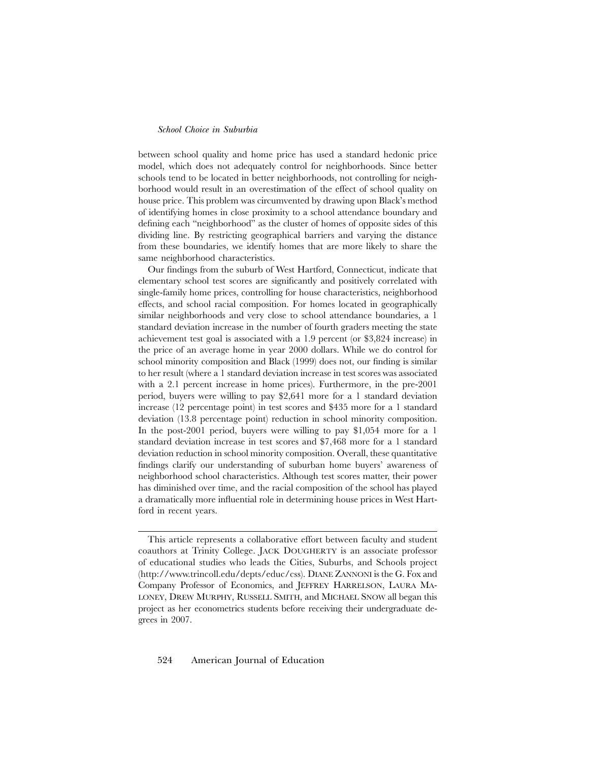between school quality and home price has used a standard hedonic price model, which does not adequately control for neighborhoods. Since better schools tend to be located in better neighborhoods, not controlling for neighborhood would result in an overestimation of the effect of school quality on house price. This problem was circumvented by drawing upon Black's method of identifying homes in close proximity to a school attendance boundary and defining each "neighborhood" as the cluster of homes of opposite sides of this dividing line. By restricting geographical barriers and varying the distance from these boundaries, we identify homes that are more likely to share the same neighborhood characteristics.

Our findings from the suburb of West Hartford, Connecticut, indicate that elementary school test scores are significantly and positively correlated with single-family home prices, controlling for house characteristics, neighborhood effects, and school racial composition. For homes located in geographically similar neighborhoods and very close to school attendance boundaries, a 1 standard deviation increase in the number of fourth graders meeting the state achievement test goal is associated with a 1.9 percent (or \$3,824 increase) in the price of an average home in year 2000 dollars. While we do control for school minority composition and Black (1999) does not, our finding is similar to her result (where a 1 standard deviation increase in test scores was associated with a 2.1 percent increase in home prices). Furthermore, in the pre-2001 period, buyers were willing to pay \$2,641 more for a 1 standard deviation increase (12 percentage point) in test scores and \$435 more for a 1 standard deviation (13.8 percentage point) reduction in school minority composition. In the post-2001 period, buyers were willing to pay \$1,054 more for a 1 standard deviation increase in test scores and \$7,468 more for a 1 standard deviation reduction in school minority composition. Overall, these quantitative findings clarify our understanding of suburban home buyers' awareness of neighborhood school characteristics. Although test scores matter, their power has diminished over time, and the racial composition of the school has played a dramatically more influential role in determining house prices in West Hartford in recent years.

This article represents a collaborative effort between faculty and student coauthors at Trinity College. JACK DOUGHERTY is an associate professor of educational studies who leads the Cities, Suburbs, and Schools project (http://www.trincoll.edu/depts/educ/css). DIANE ZANNONI is the G. Fox and Company Professor of Economics, and JEFFREY HARRELSON, LAURA MA-LONEY, DREW MURPHY, RUSSELL SMITH, and MICHAEL SNOW all began this project as her econometrics students before receiving their undergraduate degrees in 2007.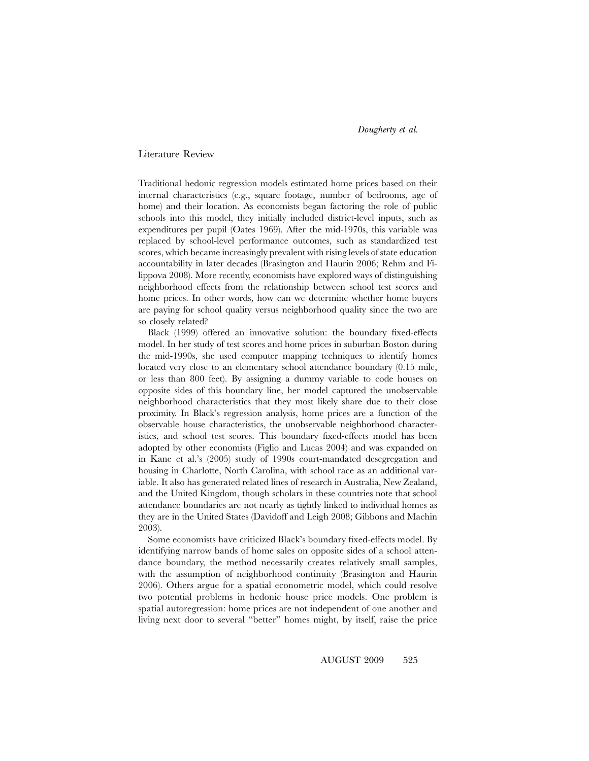#### Literature Review

Traditional hedonic regression models estimated home prices based on their internal characteristics (e.g., square footage, number of bedrooms, age of home) and their location. As economists began factoring the role of public schools into this model, they initially included district-level inputs, such as expenditures per pupil (Oates 1969). After the mid-1970s, this variable was replaced by school-level performance outcomes, such as standardized test scores, which became increasingly prevalent with rising levels of state education accountability in later decades (Brasington and Haurin 2006; Rehm and Filippova 2008). More recently, economists have explored ways of distinguishing neighborhood effects from the relationship between school test scores and home prices. In other words, how can we determine whether home buyers are paying for school quality versus neighborhood quality since the two are so closely related?

Black (1999) offered an innovative solution: the boundary fixed-effects model. In her study of test scores and home prices in suburban Boston during the mid-1990s, she used computer mapping techniques to identify homes located very close to an elementary school attendance boundary (0.15 mile, or less than 800 feet). By assigning a dummy variable to code houses on opposite sides of this boundary line, her model captured the unobservable neighborhood characteristics that they most likely share due to their close proximity. In Black's regression analysis, home prices are a function of the observable house characteristics, the unobservable neighborhood characteristics, and school test scores. This boundary fixed-effects model has been adopted by other economists (Figlio and Lucas 2004) and was expanded on in Kane et al.'s (2005) study of 1990s court-mandated desegregation and housing in Charlotte, North Carolina, with school race as an additional variable. It also has generated related lines of research in Australia, New Zealand, and the United Kingdom, though scholars in these countries note that school attendance boundaries are not nearly as tightly linked to individual homes as they are in the United States (Davidoff and Leigh 2008; Gibbons and Machin 2003).

Some economists have criticized Black's boundary fixed-effects model. By identifying narrow bands of home sales on opposite sides of a school attendance boundary, the method necessarily creates relatively small samples, with the assumption of neighborhood continuity (Brasington and Haurin 2006). Others argue for a spatial econometric model, which could resolve two potential problems in hedonic house price models. One problem is spatial autoregression: home prices are not independent of one another and living next door to several "better" homes might, by itself, raise the price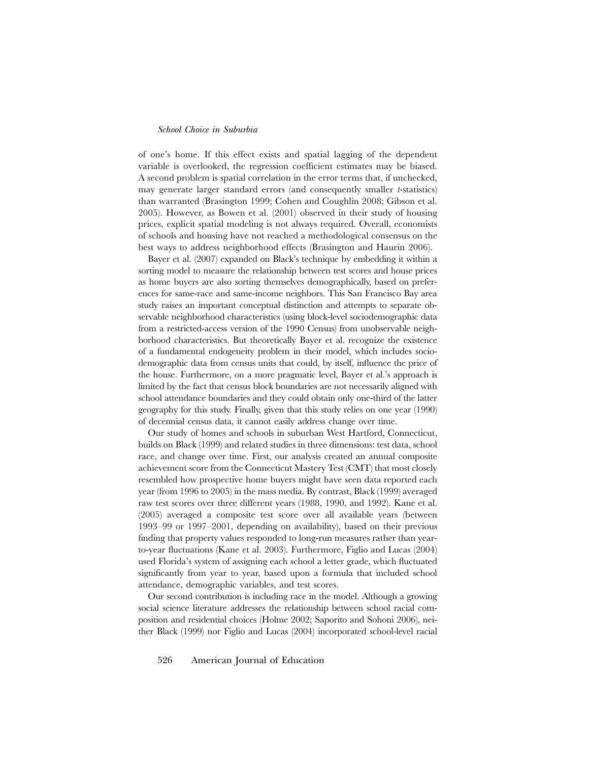of one's home. If this effect exists and spatial lagging of the dependent variable is overlooked, the regression coefficient estimates may be biased. A second problem is spatial correlation in the error terms that, if unchecked, may generate larger standard errors (and consequently smaller *t*-statistics) than warranted (Brasington 1999; Cohen and Coughlin 2008; Gibson et al. 2005). However, as Bowen et al. (2001) observed in their study of housing prices, explicit spatial modeling is not always required. Overall, economists of schools and housing have not reached a methodological consensus on the best ways to address neighborhood effects (Brasington and Haurin 2006).

Bayer et al. (2007) expanded on Black's technique by embedding it within a sorting model to measure the relationship between test scores and house prices as home buyers are also sorting themselves demographically, based on preferences for same-race and same-income neighbors. This San Francisco Bay area study raises an important conceptual distinction and attempts to separate observable neighborhood characteristics (using block-level sociodemographic data from a restricted-access version of the 1990 Census) from unobservable neighborhood characteristics. But theoretically Bayer et al. recognize the existence of a fundamental endogeneity problem in their model, which includes sociodemographic data from census units that could, by itself, influence the price of the house. Furthermore, on a more pragmatic level, Bayer et al.'s approach is limited by the fact that census block boundaries are not necessarily aligned with school attendance boundaries and they could obtain only one-third of the latter geography for this study. Finally, given that this study relies on one year (1990) of decennial census data, it cannot easily address change over time.

Our study of homes and schools in suburban West Hartford, Connecticut, builds on Black (1999) and related studies in three dimensions: test data, school race, and change over time. First, our analysis created an annual composite achievement score from the Connecticut Mastery Test (CMT) that most closely resembled how prospective home buyers might have seen data reported each year (from 1996 to 2005) in the mass media. By contrast, Black (1999) averaged raw test scores over three different years (1988, 1990, and 1992). Kane et al. (2005) averaged a composite test score over all available years (between 1993–99 or 1997–2001, depending on availability), based on their previous finding that property values responded to long-run measures rather than yearto-year fluctuations (Kane et al. 2003). Furthermore, Figlio and Lucas (2004) used Florida's system of assigning each school a letter grade, which fluctuated significantly from year to year, based upon a formula that included school attendance, demographic variables, and test scores.

Our second contribution is including race in the model. Although a growing social science literature addresses the relationship between school racial composition and residential choices (Holme 2002; Saporito and Sohoni 2006), neither Black (1999) nor Figlio and Lucas (2004) incorporated school-level racial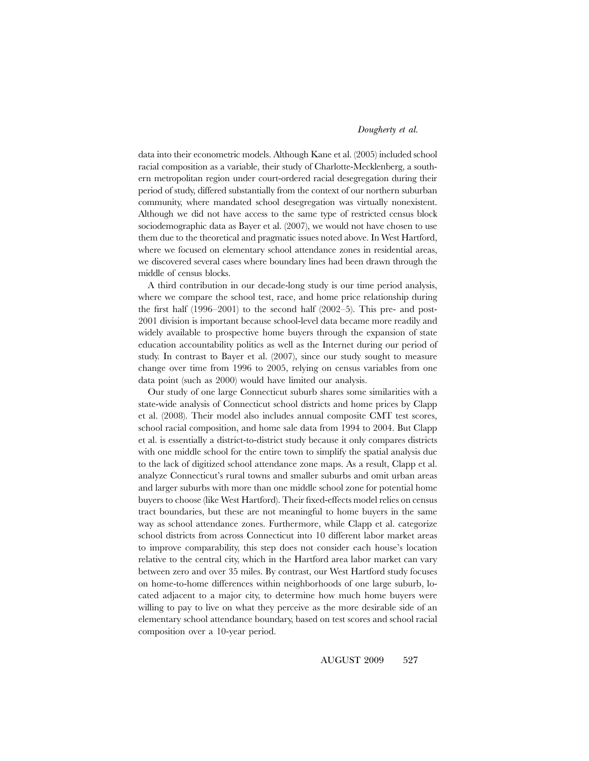data into their econometric models. Although Kane et al. (2005) included school racial composition as a variable, their study of Charlotte-Mecklenberg, a southern metropolitan region under court-ordered racial desegregation during their period of study, differed substantially from the context of our northern suburban community, where mandated school desegregation was virtually nonexistent. Although we did not have access to the same type of restricted census block sociodemographic data as Bayer et al. (2007), we would not have chosen to use them due to the theoretical and pragmatic issues noted above. In West Hartford, where we focused on elementary school attendance zones in residential areas, we discovered several cases where boundary lines had been drawn through the middle of census blocks.

A third contribution in our decade-long study is our time period analysis, where we compare the school test, race, and home price relationship during the first half  $(1996–2001)$  to the second half  $(2002–5)$ . This pre- and post-2001 division is important because school-level data became more readily and widely available to prospective home buyers through the expansion of state education accountability politics as well as the Internet during our period of study. In contrast to Bayer et al. (2007), since our study sought to measure change over time from 1996 to 2005, relying on census variables from one data point (such as 2000) would have limited our analysis.

Our study of one large Connecticut suburb shares some similarities with a state-wide analysis of Connecticut school districts and home prices by Clapp et al. (2008). Their model also includes annual composite CMT test scores, school racial composition, and home sale data from 1994 to 2004. But Clapp et al. is essentially a district-to-district study because it only compares districts with one middle school for the entire town to simplify the spatial analysis due to the lack of digitized school attendance zone maps. As a result, Clapp et al. analyze Connecticut's rural towns and smaller suburbs and omit urban areas and larger suburbs with more than one middle school zone for potential home buyers to choose (like West Hartford). Their fixed-effects model relies on census tract boundaries, but these are not meaningful to home buyers in the same way as school attendance zones. Furthermore, while Clapp et al. categorize school districts from across Connecticut into 10 different labor market areas to improve comparability, this step does not consider each house's location relative to the central city, which in the Hartford area labor market can vary between zero and over 35 miles. By contrast, our West Hartford study focuses on home-to-home differences within neighborhoods of one large suburb, located adjacent to a major city, to determine how much home buyers were willing to pay to live on what they perceive as the more desirable side of an elementary school attendance boundary, based on test scores and school racial composition over a 10-year period.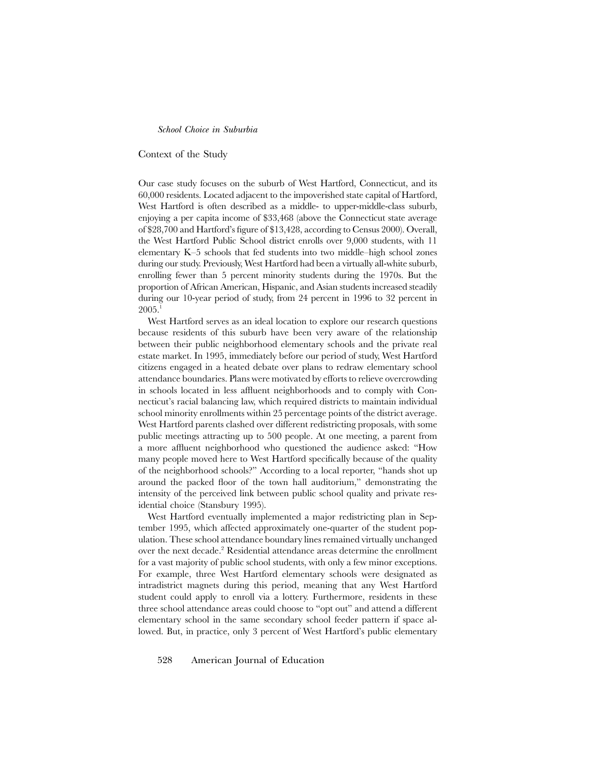Context of the Study

Our case study focuses on the suburb of West Hartford, Connecticut, and its 60,000 residents. Located adjacent to the impoverished state capital of Hartford, West Hartford is often described as a middle- to upper-middle-class suburb, enjoying a per capita income of \$33,468 (above the Connecticut state average of \$28,700 and Hartford's figure of \$13,428, according to Census 2000). Overall, the West Hartford Public School district enrolls over 9,000 students, with 11 elementary K–5 schools that fed students into two middle–high school zones during our study. Previously, West Hartford had been a virtually all-white suburb, enrolling fewer than 5 percent minority students during the 1970s. But the proportion of African American, Hispanic, and Asian students increased steadily during our 10-year period of study, from 24 percent in 1996 to 32 percent in 2005.

West Hartford serves as an ideal location to explore our research questions because residents of this suburb have been very aware of the relationship between their public neighborhood elementary schools and the private real estate market. In 1995, immediately before our period of study, West Hartford citizens engaged in a heated debate over plans to redraw elementary school attendance boundaries. Plans were motivated by efforts to relieve overcrowding in schools located in less affluent neighborhoods and to comply with Connecticut's racial balancing law, which required districts to maintain individual school minority enrollments within 25 percentage points of the district average. West Hartford parents clashed over different redistricting proposals, with some public meetings attracting up to 500 people. At one meeting, a parent from a more affluent neighborhood who questioned the audience asked: "How many people moved here to West Hartford specifically because of the quality of the neighborhood schools?" According to a local reporter, "hands shot up around the packed floor of the town hall auditorium," demonstrating the intensity of the perceived link between public school quality and private residential choice (Stansbury 1995).

West Hartford eventually implemented a major redistricting plan in September 1995, which affected approximately one-quarter of the student population. These school attendance boundary lines remained virtually unchanged over the next decade.<sup>2</sup> Residential attendance areas determine the enrollment for a vast majority of public school students, with only a few minor exceptions. For example, three West Hartford elementary schools were designated as intradistrict magnets during this period, meaning that any West Hartford student could apply to enroll via a lottery. Furthermore, residents in these three school attendance areas could choose to "opt out" and attend a different elementary school in the same secondary school feeder pattern if space allowed. But, in practice, only 3 percent of West Hartford's public elementary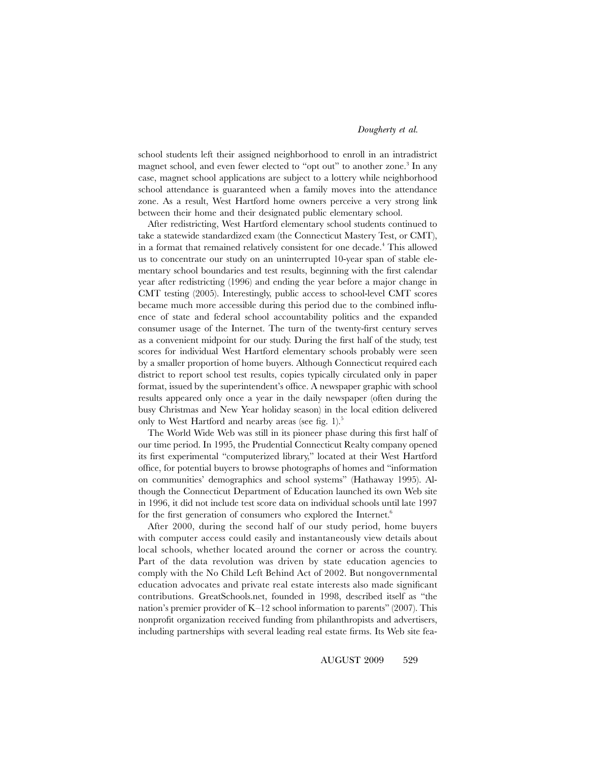school students left their assigned neighborhood to enroll in an intradistrict magnet school, and even fewer elected to "opt out" to another zone.<sup>3</sup> In any case, magnet school applications are subject to a lottery while neighborhood school attendance is guaranteed when a family moves into the attendance zone. As a result, West Hartford home owners perceive a very strong link between their home and their designated public elementary school.

After redistricting, West Hartford elementary school students continued to take a statewide standardized exam (the Connecticut Mastery Test, or CMT), in a format that remained relatively consistent for one decade.<sup>4</sup> This allowed us to concentrate our study on an uninterrupted 10-year span of stable elementary school boundaries and test results, beginning with the first calendar year after redistricting (1996) and ending the year before a major change in CMT testing (2005). Interestingly, public access to school-level CMT scores became much more accessible during this period due to the combined influence of state and federal school accountability politics and the expanded consumer usage of the Internet. The turn of the twenty-first century serves as a convenient midpoint for our study. During the first half of the study, test scores for individual West Hartford elementary schools probably were seen by a smaller proportion of home buyers. Although Connecticut required each district to report school test results, copies typically circulated only in paper format, issued by the superintendent's office. A newspaper graphic with school results appeared only once a year in the daily newspaper (often during the busy Christmas and New Year holiday season) in the local edition delivered only to West Hartford and nearby areas (see fig. 1).<sup>5</sup>

The World Wide Web was still in its pioneer phase during this first half of our time period. In 1995, the Prudential Connecticut Realty company opened its first experimental "computerized library," located at their West Hartford office, for potential buyers to browse photographs of homes and "information on communities' demographics and school systems" (Hathaway 1995). Although the Connecticut Department of Education launched its own Web site in 1996, it did not include test score data on individual schools until late 1997 for the first generation of consumers who explored the Internet.<sup>6</sup>

After 2000, during the second half of our study period, home buyers with computer access could easily and instantaneously view details about local schools, whether located around the corner or across the country. Part of the data revolution was driven by state education agencies to comply with the No Child Left Behind Act of 2002. But nongovernmental education advocates and private real estate interests also made significant contributions. GreatSchools.net, founded in 1998, described itself as "the nation's premier provider of K–12 school information to parents" (2007). This nonprofit organization received funding from philanthropists and advertisers, including partnerships with several leading real estate firms. Its Web site fea-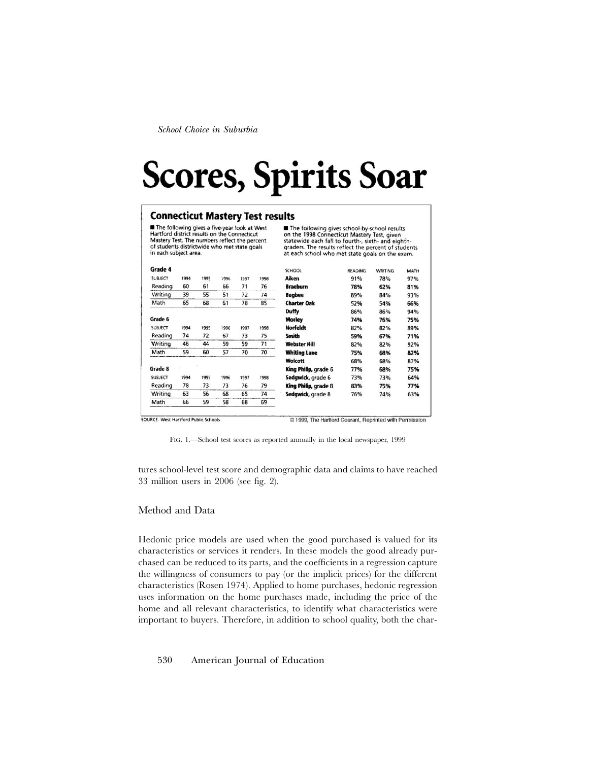# **Scores, Spirits Soar**

#### **Connecticut Mastery Test results**

The following gives a five-year took at West<br>Hartford district results on the Connecticut Mastery Test. The numbers reflect the percent<br>of students districtwide who met state goals in each subject area.

The following gives school-by-school results on the 1998 Connecticut Mastery Test, given<br>statewide each fall to fourth-, sixth- and eighth-<br>graders. The results reflect the percent of students at each school who met state goals on the exam.

| Grade 4        |      |      |      |      |      | <b>SCHOOL</b>        | <b>READING</b> | <b>WRITING</b> | MATH |
|----------------|------|------|------|------|------|----------------------|----------------|----------------|------|
| <b>SUBJECT</b> | 1994 | 1995 | 1996 | 1997 | 1998 | Aiken                | 91%            | 78%            | 97%  |
| Reading        | 60   | 61   | 66   | 71   | 76   | <b>Braeburn</b>      | 78%            | 62%            | 81%  |
| Writing        | 39   | 55   | 51   | 72   | 74   | <b>Bugbee</b>        | 89%            | 84%            | 93%  |
| Math           | 65   | 68   | 61   | 78   | 85   | <b>Charter Oak</b>   | 52%            | 54%            | 66%  |
|                |      |      |      |      |      | <b>Duffy</b>         | 86%            | 86%            | 94%  |
| Grade 6        |      |      |      |      |      | Morley               | 74%            | 76%            | 75%  |
| SUBJECT        | 1994 | 1995 | 1996 | 1997 | 1998 | <b>Norfeldt</b>      | 82%            | 82%            | 89%  |
| Reading        | 74   | 72   | 67   | 73   | 75   | <b>Smith</b>         | 59%            | 67%            | 71%  |
| Writing        | 46   | 44   | 59   | 59   | 71   | <b>Webster Hill</b>  | 82%            | 82%            | 92%  |
| Math           | 59   | 60   | 57   | 70   | 70   | <b>Whiting Lane</b>  | 75%            | 68%            | 82%  |
|                |      |      |      |      |      | Wolcott              | 68%            | 68%            | 87%  |
| Grade 8        |      |      |      |      |      | King Philip, grade 6 | 77%            | 68%            | 75%  |
| <b>SUBJECT</b> | 1994 | 1995 | 1996 | 1997 | 1998 | Sedgwick, grade 6    | 73%            | 73%            | 64%  |
| Reading        | 78   | 73   | 73   | 76   | 79   | King Philip, grade 8 | 83%            | 75%            | 77%  |
| Writing        | 63   | 56   | 68   | 65   | 74   | Sedgwick, grade 8    | 76%            | 74%            | 63%  |
| Math           | 66   | 59   | 58   | 68   | 69   |                      |                |                |      |

SOURCE: West Hartford Public Schools

© 1999, The Hartford Courant, Reprinted with Permission

FIG. 1.—School test scores as reported annually in the local newspaper, 1999

tures school-level test score and demographic data and claims to have reached 33 million users in 2006 (see fig. 2).

#### Method and Data

Hedonic price models are used when the good purchased is valued for its characteristics or services it renders. In these models the good already purchased can be reduced to its parts, and the coefficients in a regression capture the willingness of consumers to pay (or the implicit prices) for the different characteristics (Rosen 1974). Applied to home purchases, hedonic regression uses information on the home purchases made, including the price of the home and all relevant characteristics, to identify what characteristics were important to buyers. Therefore, in addition to school quality, both the char-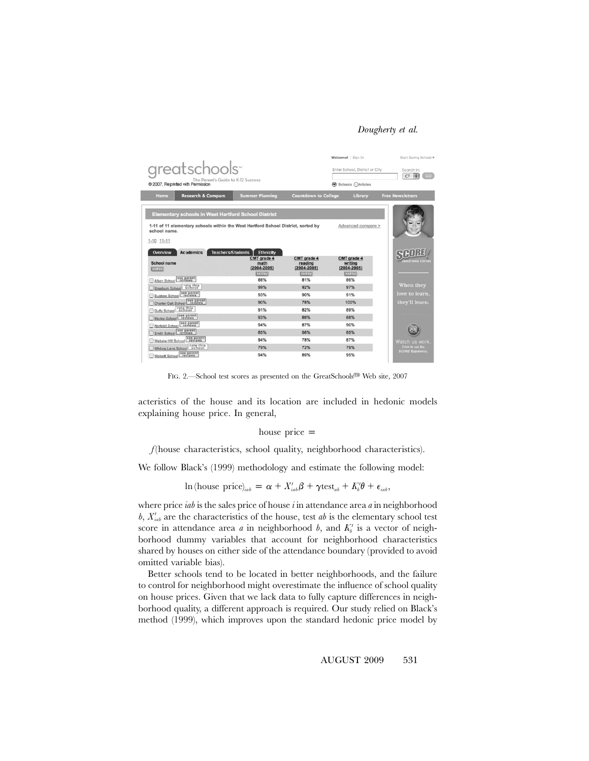|                                                                                                   |                                        |                                           | Welcome! Sign In                          | Start Saving Schools I              |
|---------------------------------------------------------------------------------------------------|----------------------------------------|-------------------------------------------|-------------------------------------------|-------------------------------------|
| greatschools-                                                                                     |                                        |                                           | Enter School, District or City            | Search In:<br>id)<br>G <sub>O</sub> |
| The Parent's Guide to K-12 Success<br>@ 2007. Reprinted with Permission                           |                                        |                                           | Schools Marticles                         | CT                                  |
| <b>Research &amp; Compare</b><br>Home                                                             | <b>Summer Planning</b>                 | <b>Countdown to College</b>               | Library                                   | <b>Free Newsletters</b>             |
| <b>Elementary schools in West Hartford School District</b>                                        |                                        |                                           |                                           |                                     |
| 1-11 of 11 elementary schools within the West Hartford School District, sorted by<br>school name. |                                        |                                           | Advanced compare >                        |                                     |
| $1-10.11-11$                                                                                      |                                        |                                           |                                           |                                     |
| <b>Teachers/Students</b><br><b>Academics</b><br>Overview                                          | Ethnicity                              |                                           |                                           |                                     |
| School name<br>sortby                                                                             | CMT grade 4<br>math<br>$(2004 - 2005)$ | CMT grade 4<br>reading<br>$(2004 - 2005)$ | CMT grade 4<br>writing<br>$(2004 - 2005)$ | <b>DICITIONAL CENTER</b>            |
|                                                                                                   | sortby                                 | sortby                                    | sortby                                    |                                     |
| Aiken School see parent                                                                           | 88%                                    | 81%                                       | 86%                                       |                                     |
| Braeburn School rate this                                                                         | 99%                                    | 92%                                       | 97%                                       | When they                           |
| Bugbee School see parent                                                                          | 93%                                    | 90%                                       | 91%                                       | love to learn.                      |
| Charler Oak School see parent                                                                     | 90%                                    | 78%                                       | 100%                                      | they'll learn.                      |
| rate this<br>school<br>Duffy School                                                               | 91%                                    | 82%                                       | 89%                                       |                                     |
| see parent<br>Morley School                                                                       | 93%                                    | 88%                                       | 88%                                       |                                     |
| Norfeldt School see parent                                                                        | 94%                                    | 87%                                       | 90%                                       |                                     |
| Smith School see parent                                                                           | 85%                                    | 56%                                       | 85%                                       |                                     |
| see parent<br>Webster Hill School                                                                 | 94%                                    | 78%                                       | 87%                                       | Watch us work                       |
| Whiting Lane School Fate this                                                                     | 79%                                    | 72%                                       | 79%                                       | Click to see the                    |
| Wolcott School see parent                                                                         | 94%                                    | 89%                                       | 95%                                       | <b>SCORE! Experience.</b>           |

FIG. 2.—School test scores as presented on the GreatSchools<sup>® Web</sup> site, 2007

acteristics of the house and its location are included in hedonic models explaining house price. In general,

#### house price  $=$

*f* (house characteristics, school quality, neighborhood characteristics).

We follow Black's (1999) methodology and estimate the following model:

 $\ln(\text{house price})_{iab} = \alpha + X'_{iab}\beta + \gamma \text{test}_{ab} + K'_{i}\theta + \epsilon_{iab}$ 

where price *iab* is the sales price of house *i* in attendance area *a* in neighborhood  $b$ ,  $X'_{iab}$  are the characteristics of the house, test *ab* is the elementary school test score in attendance area  $a$  in neighborhood  $b$ , and  $K'_{b}$  is a vector of neighborhood dummy variables that account for neighborhood characteristics shared by houses on either side of the attendance boundary (provided to avoid omitted variable bias).

Better schools tend to be located in better neighborhoods, and the failure to control for neighborhood might overestimate the influence of school quality on house prices. Given that we lack data to fully capture differences in neighborhood quality, a different approach is required. Our study relied on Black's method (1999), which improves upon the standard hedonic price model by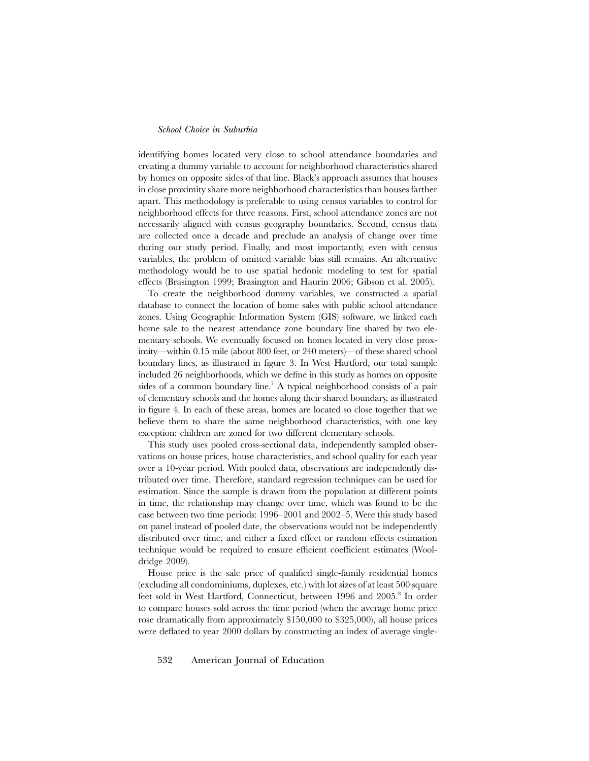identifying homes located very close to school attendance boundaries and creating a dummy variable to account for neighborhood characteristics shared by homes on opposite sides of that line. Black's approach assumes that houses in close proximity share more neighborhood characteristics than houses farther apart. This methodology is preferable to using census variables to control for neighborhood effects for three reasons. First, school attendance zones are not necessarily aligned with census geography boundaries. Second, census data are collected once a decade and preclude an analysis of change over time during our study period. Finally, and most importantly, even with census variables, the problem of omitted variable bias still remains. An alternative methodology would be to use spatial hedonic modeling to test for spatial effects (Brasington 1999; Brasington and Haurin 2006; Gibson et al. 2005).

To create the neighborhood dummy variables, we constructed a spatial database to connect the location of home sales with public school attendance zones. Using Geographic Information System (GIS) software, we linked each home sale to the nearest attendance zone boundary line shared by two elementary schools. We eventually focused on homes located in very close proximity—within 0.15 mile (about 800 feet, or 240 meters)—of these shared school boundary lines, as illustrated in figure 3. In West Hartford, our total sample included 26 neighborhoods, which we define in this study as homes on opposite sides of a common boundary line.<sup>7</sup> A typical neighborhood consists of a pair of elementary schools and the homes along their shared boundary, as illustrated in figure 4. In each of these areas, homes are located so close together that we believe them to share the same neighborhood characteristics, with one key exception: children are zoned for two different elementary schools.

This study uses pooled cross-sectional data, independently sampled observations on house prices, house characteristics, and school quality for each year over a 10-year period. With pooled data, observations are independently distributed over time. Therefore, standard regression techniques can be used for estimation. Since the sample is drawn from the population at different points in time, the relationship may change over time, which was found to be the case between two time periods: 1996–2001 and 2002–5. Were this study based on panel instead of pooled date, the observations would not be independently distributed over time, and either a fixed effect or random effects estimation technique would be required to ensure efficient coefficient estimates (Wooldridge 2009).

House price is the sale price of qualified single-family residential homes (excluding all condominiums, duplexes, etc.) with lot sizes of at least 500 square feet sold in West Hartford, Connecticut, between 1996 and 2005.<sup>8</sup> In order to compare houses sold across the time period (when the average home price rose dramatically from approximately \$150,000 to \$325,000), all house prices were deflated to year 2000 dollars by constructing an index of average single-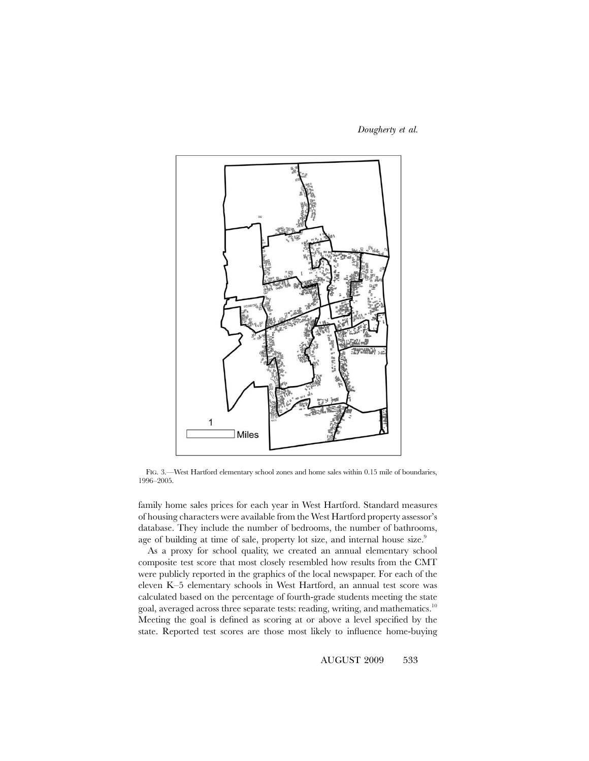*Dougherty et al.*



FIG. 3.—West Hartford elementary school zones and home sales within 0.15 mile of boundaries, 1996–2005.

family home sales prices for each year in West Hartford. Standard measures of housing characters were available from the West Hartford property assessor's database. They include the number of bedrooms, the number of bathrooms, age of building at time of sale, property lot size, and internal house size.<sup>9</sup>

As a proxy for school quality, we created an annual elementary school composite test score that most closely resembled how results from the CMT were publicly reported in the graphics of the local newspaper. For each of the eleven K–5 elementary schools in West Hartford, an annual test score was calculated based on the percentage of fourth-grade students meeting the state goal, averaged across three separate tests: reading, writing, and mathematics.<sup>10</sup> Meeting the goal is defined as scoring at or above a level specified by the state. Reported test scores are those most likely to influence home-buying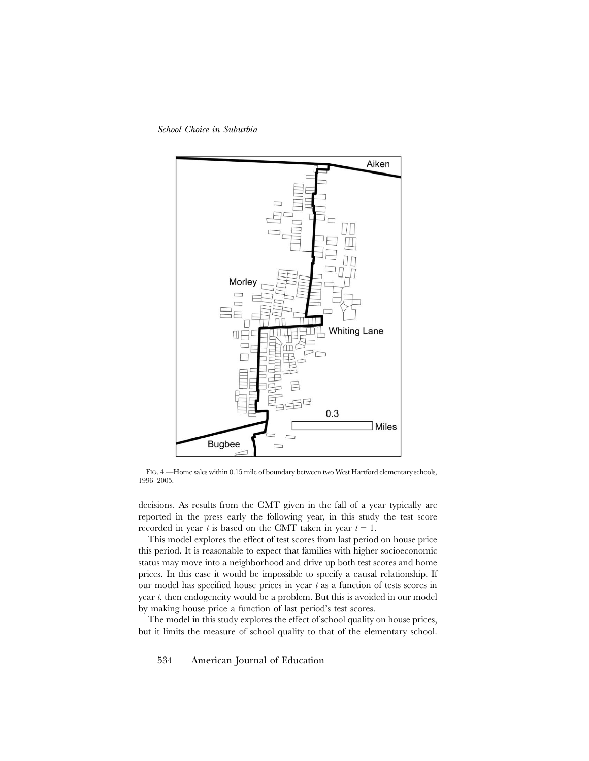*School Choice in Suburbia*



FIG. 4.—Home sales within 0.15 mile of boundary between two West Hartford elementary schools, 1996–2005.

decisions. As results from the CMT given in the fall of a year typically are reported in the press early the following year, in this study the test score recorded in year  $t$  is based on the CMT taken in year  $t - 1$ .

This model explores the effect of test scores from last period on house price this period. It is reasonable to expect that families with higher socioeconomic status may move into a neighborhood and drive up both test scores and home prices. In this case it would be impossible to specify a causal relationship. If our model has specified house prices in year *t* as a function of tests scores in year *t*, then endogeneity would be a problem. But this is avoided in our model by making house price a function of last period's test scores.

The model in this study explores the effect of school quality on house prices, but it limits the measure of school quality to that of the elementary school.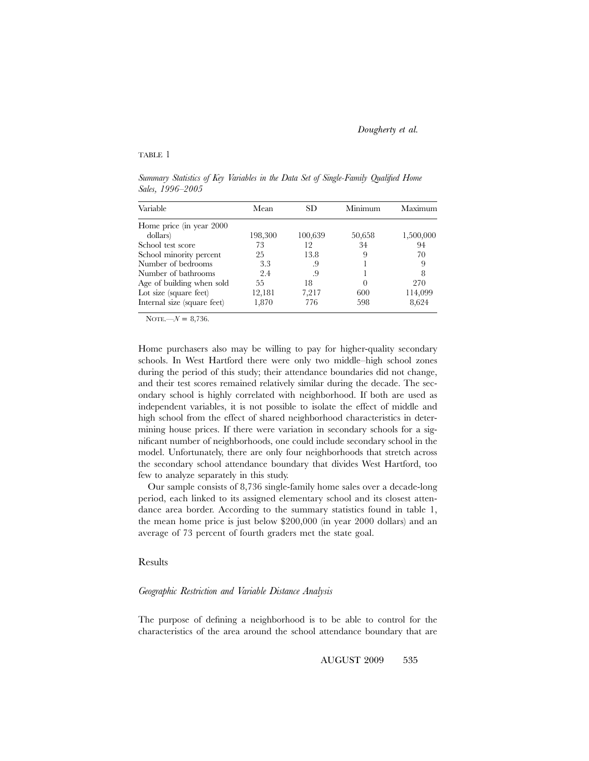#### TABLE 1

*Summary Statistics of Key Variables in the Data Set of Single-Family Qualified Home Sales, 1996–2005*

| Variable                    | Mean    | SD      | Minimum  | Maximum   |
|-----------------------------|---------|---------|----------|-----------|
| Home price (in year 2000    |         |         |          |           |
| dollars)                    | 198,300 | 100,639 | 50,658   | 1,500,000 |
| School test score           | 73      | 12      | 34       | 94        |
| School minority percent     | 25      | 13.8    | 9        | 70        |
| Number of bedrooms          | 3.3     | .9      |          |           |
| Number of bathrooms         | 2.4     | .9      |          |           |
| Age of building when sold   | 55      | 18      | $\theta$ | 270       |
| Lot size (square feet)      | 12,181  | 7,217   | 600      | 114,099   |
| Internal size (square feet) | 1,870   | 776     | 598      | 8,624     |

NOTE.— $N = 8,736$ .

Home purchasers also may be willing to pay for higher-quality secondary schools. In West Hartford there were only two middle–high school zones during the period of this study; their attendance boundaries did not change, and their test scores remained relatively similar during the decade. The secondary school is highly correlated with neighborhood. If both are used as independent variables, it is not possible to isolate the effect of middle and high school from the effect of shared neighborhood characteristics in determining house prices. If there were variation in secondary schools for a significant number of neighborhoods, one could include secondary school in the model. Unfortunately, there are only four neighborhoods that stretch across the secondary school attendance boundary that divides West Hartford, too few to analyze separately in this study.

Our sample consists of 8,736 single-family home sales over a decade-long period, each linked to its assigned elementary school and its closest attendance area border. According to the summary statistics found in table 1, the mean home price is just below \$200,000 (in year 2000 dollars) and an average of 73 percent of fourth graders met the state goal.

#### Results

#### *Geographic Restriction and Variable Distance Analysis*

The purpose of defining a neighborhood is to be able to control for the characteristics of the area around the school attendance boundary that are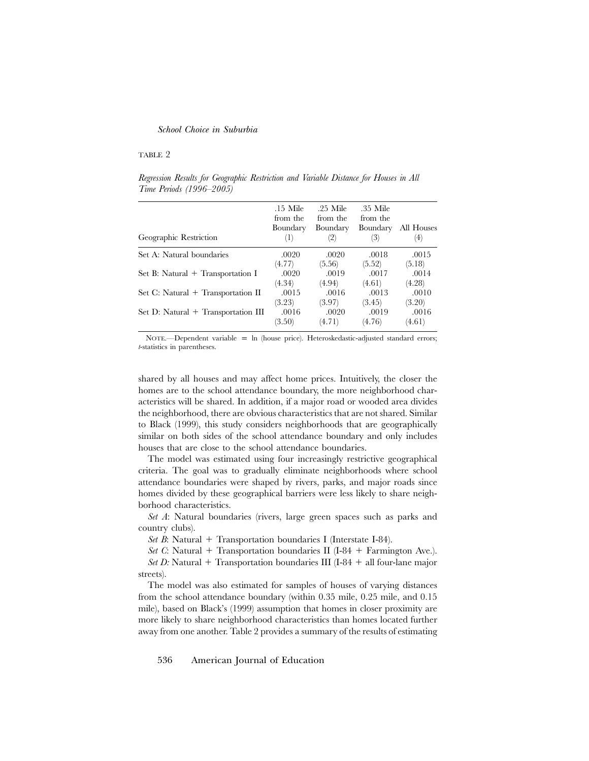#### TABLE 2

*Regression Results for Geographic Restriction and Variable Distance for Houses in All Time Periods (1996–2005)*

| Geographic Restriction              | $.15$ Mile<br>from the<br>Boundary<br>(1) | $.25$ Mile<br>from the<br>Boundary<br>(2) | .35 Mile<br>from the<br>Boundary<br>(3) | All Houses<br>(4) |
|-------------------------------------|-------------------------------------------|-------------------------------------------|-----------------------------------------|-------------------|
| Set A: Natural boundaries           | .0020                                     | .0020                                     | .0018                                   | .0015             |
|                                     | (4.77)                                    | (5.56)                                    | (5.52)                                  | (5.18)            |
| Set B: Natural $+$ Transportation I | .0020                                     | .0019                                     | .0017                                   | .0014             |
|                                     | (4.34)                                    | (4.94)                                    | (4.61)                                  | (4.28)            |
| Set C: Natural + Transportation II  | .0015                                     | .0016                                     | .0013                                   | .0010             |
|                                     | (3.23)                                    | (3.97)                                    | (3.45)                                  | (3.20)            |
| Set D: Natural + Transportation III | .0016                                     | .0020                                     | .0019                                   | .0016             |
|                                     | (3.50)                                    | (4.71)                                    | (4.76)                                  | (4.61)            |

NOTE.--Dependent variable = ln (house price). Heteroskedastic-adjusted standard errors; *t*-statistics in parentheses.

shared by all houses and may affect home prices. Intuitively, the closer the homes are to the school attendance boundary, the more neighborhood characteristics will be shared. In addition, if a major road or wooded area divides the neighborhood, there are obvious characteristics that are not shared. Similar to Black (1999), this study considers neighborhoods that are geographically similar on both sides of the school attendance boundary and only includes houses that are close to the school attendance boundaries.

The model was estimated using four increasingly restrictive geographical criteria. The goal was to gradually eliminate neighborhoods where school attendance boundaries were shaped by rivers, parks, and major roads since homes divided by these geographical barriers were less likely to share neighborhood characteristics.

*Set A*: Natural boundaries (rivers, large green spaces such as parks and country clubs).

*Set B*: Natural  $+$  Transportation boundaries I (Interstate I-84).

*Set C*: Natural + Transportation boundaries II (I-84 + Farmington Ave.). *Set D:* Natural  $+$  Transportation boundaries III (I-84  $+$  all four-lane major streets).

The model was also estimated for samples of houses of varying distances from the school attendance boundary (within 0.35 mile, 0.25 mile, and 0.15 mile), based on Black's (1999) assumption that homes in closer proximity are more likely to share neighborhood characteristics than homes located further away from one another. Table 2 provides a summary of the results of estimating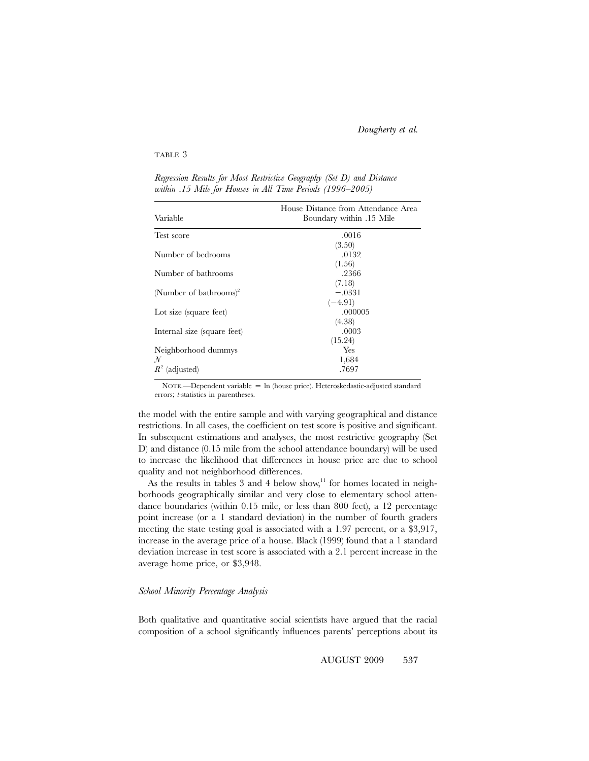#### TABLE 3

| Variable                           | House Distance from Attendance Area<br>Boundary within .15 Mile |
|------------------------------------|-----------------------------------------------------------------|
| Test score                         | .0016                                                           |
|                                    | (3.50)                                                          |
| Number of bedrooms                 | .0132                                                           |
|                                    | (1.56)                                                          |
| Number of bathrooms                | .2366                                                           |
|                                    | (7.18)                                                          |
| (Number of bathrooms) <sup>2</sup> | $-.0331$                                                        |
|                                    | $(-4.91)$                                                       |
| Lot size (square feet)             | .000005                                                         |
|                                    | (4.38)                                                          |
| Internal size (square feet)        | .0003                                                           |
|                                    | (15.24)                                                         |
| Neighborhood dummys                | Yes                                                             |
| $\mathcal{N}$                      | 1,684                                                           |
| $R^2$<br>(adjusted)                | .7697                                                           |

*Regression Results for Most Restrictive Geography (Set D) and Distance within .15 Mile for Houses in All Time Periods (1996–2005)*

NOTE.—Dependent variable  $=$  ln (house price). Heteroskedastic-adjusted standard errors; *t*-statistics in parentheses.

the model with the entire sample and with varying geographical and distance restrictions. In all cases, the coefficient on test score is positive and significant. In subsequent estimations and analyses, the most restrictive geography (Set D) and distance (0.15 mile from the school attendance boundary) will be used to increase the likelihood that differences in house price are due to school quality and not neighborhood differences.

As the results in tables 3 and 4 below show,<sup>11</sup> for homes located in neighborhoods geographically similar and very close to elementary school attendance boundaries (within 0.15 mile, or less than 800 feet), a 12 percentage point increase (or a 1 standard deviation) in the number of fourth graders meeting the state testing goal is associated with a 1.97 percent, or a \$3,917, increase in the average price of a house. Black (1999) found that a 1 standard deviation increase in test score is associated with a 2.1 percent increase in the average home price, or \$3,948.

#### *School Minority Percentage Analysis*

Both qualitative and quantitative social scientists have argued that the racial composition of a school significantly influences parents' perceptions about its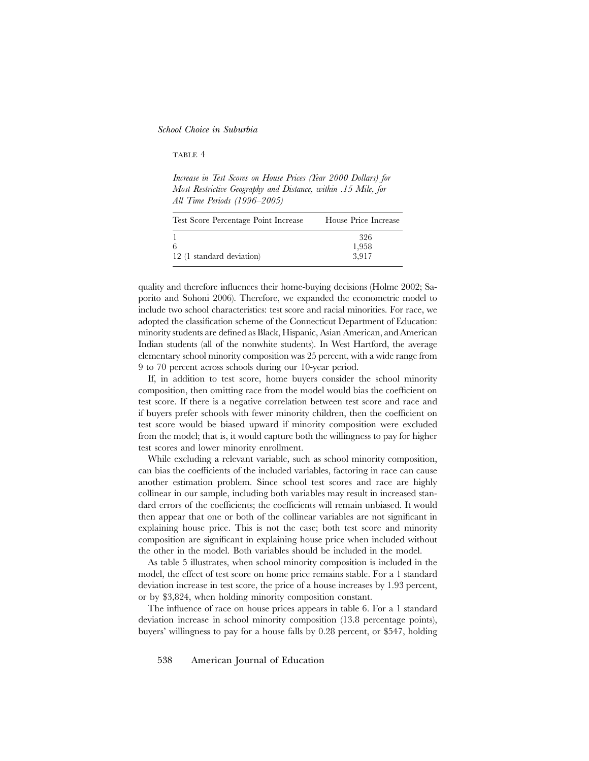#### TABLE 4

*Increase in Test Scores on House Prices (Year 2000 Dollars) for Most Restrictive Geography and Distance, within .15 Mile, for All Time Periods (1996–2005)*

| Test Score Percentage Point Increase | House Price Increase  |
|--------------------------------------|-----------------------|
| 6<br>12 (1 standard deviation)       | 326<br>1,958<br>3.917 |

quality and therefore influences their home-buying decisions (Holme 2002; Saporito and Sohoni 2006). Therefore, we expanded the econometric model to include two school characteristics: test score and racial minorities. For race, we adopted the classification scheme of the Connecticut Department of Education: minority students are defined as Black, Hispanic, Asian American, and American Indian students (all of the nonwhite students). In West Hartford, the average elementary school minority composition was 25 percent, with a wide range from 9 to 70 percent across schools during our 10-year period.

If, in addition to test score, home buyers consider the school minority composition, then omitting race from the model would bias the coefficient on test score. If there is a negative correlation between test score and race and if buyers prefer schools with fewer minority children, then the coefficient on test score would be biased upward if minority composition were excluded from the model; that is, it would capture both the willingness to pay for higher test scores and lower minority enrollment.

While excluding a relevant variable, such as school minority composition, can bias the coefficients of the included variables, factoring in race can cause another estimation problem. Since school test scores and race are highly collinear in our sample, including both variables may result in increased standard errors of the coefficients; the coefficients will remain unbiased. It would then appear that one or both of the collinear variables are not significant in explaining house price. This is not the case; both test score and minority composition are significant in explaining house price when included without the other in the model. Both variables should be included in the model.

As table 5 illustrates, when school minority composition is included in the model, the effect of test score on home price remains stable. For a 1 standard deviation increase in test score, the price of a house increases by 1.93 percent, or by \$3,824, when holding minority composition constant.

The influence of race on house prices appears in table 6. For a 1 standard deviation increase in school minority composition (13.8 percentage points), buyers' willingness to pay for a house falls by 0.28 percent, or \$547, holding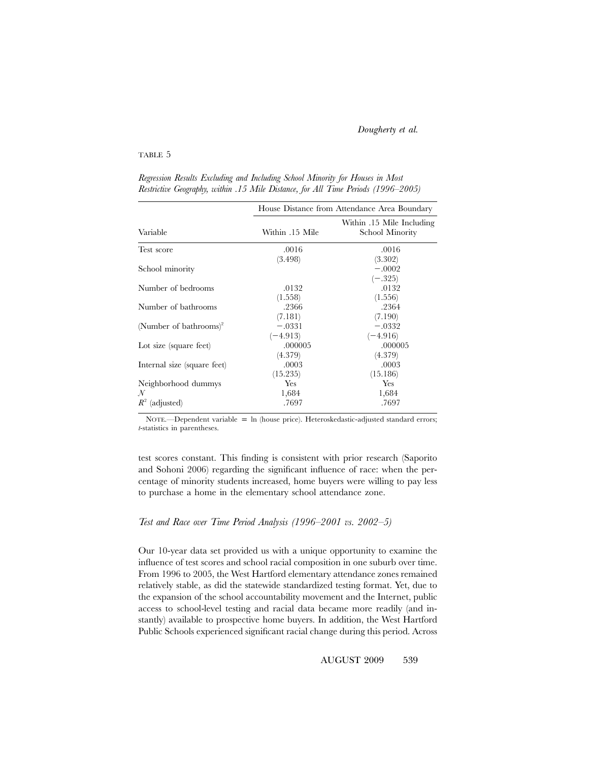#### TABLE 5

|                                    | House Distance from Attendance Area Boundary |                                              |  |  |
|------------------------------------|----------------------------------------------|----------------------------------------------|--|--|
| Variable                           | Within .15 Mile                              | Within .15 Mile Including<br>School Minority |  |  |
| Test score                         | .0016                                        | .0016                                        |  |  |
| School minority                    | (3.498)                                      | (3.302)<br>$-.0002$<br>$(-.325)$             |  |  |
| Number of bedrooms                 | .0132                                        | .0132                                        |  |  |
| Number of bathrooms                | (1.558)<br>.2366                             | (1.556)<br>.2364                             |  |  |
| (Number of bathrooms) <sup>2</sup> | (7.181)<br>$-.0331$                          | (7.190)<br>$-.0332$                          |  |  |
| Lot size (square feet)             | $(-4.913)$<br>.000005                        | $(-4.916)$<br>.000005                        |  |  |
| Internal size (square feet)        | (4.379)<br>.0003                             | (4.379)<br>.0003                             |  |  |
| Neighborhood dummys<br>N           | (15.235)<br>Yes<br>1,684                     | (15.186)<br>Yes<br>1,684                     |  |  |
| $R^2$<br>(adjusted)                | .7697                                        | .7697                                        |  |  |

*Regression Results Excluding and Including School Minority for Houses in Most Restrictive Geography, within .15 Mile Distance, for All Time Periods (1996–2005)*

NOTE.—Dependent variable =  $\ln$  (house price). Heteroskedastic-adjusted standard errors; *t*-statistics in parentheses.

test scores constant. This finding is consistent with prior research (Saporito and Sohoni 2006) regarding the significant influence of race: when the percentage of minority students increased, home buyers were willing to pay less to purchase a home in the elementary school attendance zone.

#### *Test and Race over Time Period Analysis (1996–2001 vs. 2002–5)*

Our 10-year data set provided us with a unique opportunity to examine the influence of test scores and school racial composition in one suburb over time. From 1996 to 2005, the West Hartford elementary attendance zones remained relatively stable, as did the statewide standardized testing format. Yet, due to the expansion of the school accountability movement and the Internet, public access to school-level testing and racial data became more readily (and instantly) available to prospective home buyers. In addition, the West Hartford Public Schools experienced significant racial change during this period. Across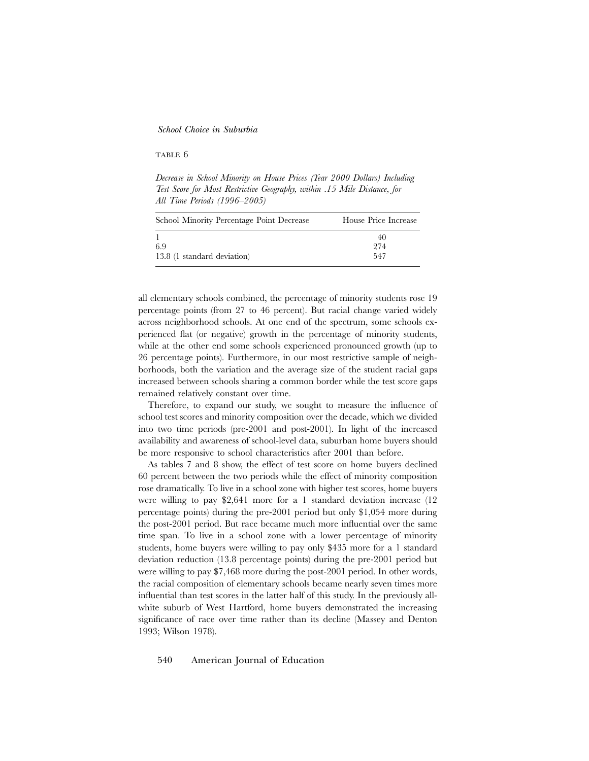#### TABLE 6

*Decrease in School Minority on House Prices (Year 2000 Dollars) Including Test Score for Most Restrictive Geography, within .15 Mile Distance, for All Time Periods (1996–2005)*

| School Minority Percentage Point Decrease | House Price Increase |
|-------------------------------------------|----------------------|
| 69<br>13.8 (1 standard deviation)         | 40<br>974<br>547     |

all elementary schools combined, the percentage of minority students rose 19 percentage points (from 27 to 46 percent). But racial change varied widely across neighborhood schools. At one end of the spectrum, some schools experienced flat (or negative) growth in the percentage of minority students, while at the other end some schools experienced pronounced growth (up to 26 percentage points). Furthermore, in our most restrictive sample of neighborhoods, both the variation and the average size of the student racial gaps increased between schools sharing a common border while the test score gaps remained relatively constant over time.

Therefore, to expand our study, we sought to measure the influence of school test scores and minority composition over the decade, which we divided into two time periods (pre-2001 and post-2001). In light of the increased availability and awareness of school-level data, suburban home buyers should be more responsive to school characteristics after 2001 than before.

As tables 7 and 8 show, the effect of test score on home buyers declined 60 percent between the two periods while the effect of minority composition rose dramatically. To live in a school zone with higher test scores, home buyers were willing to pay \$2,641 more for a 1 standard deviation increase (12 percentage points) during the pre-2001 period but only \$1,054 more during the post-2001 period. But race became much more influential over the same time span. To live in a school zone with a lower percentage of minority students, home buyers were willing to pay only \$435 more for a 1 standard deviation reduction (13.8 percentage points) during the pre-2001 period but were willing to pay \$7,468 more during the post-2001 period. In other words, the racial composition of elementary schools became nearly seven times more influential than test scores in the latter half of this study. In the previously allwhite suburb of West Hartford, home buyers demonstrated the increasing significance of race over time rather than its decline (Massey and Denton 1993; Wilson 1978).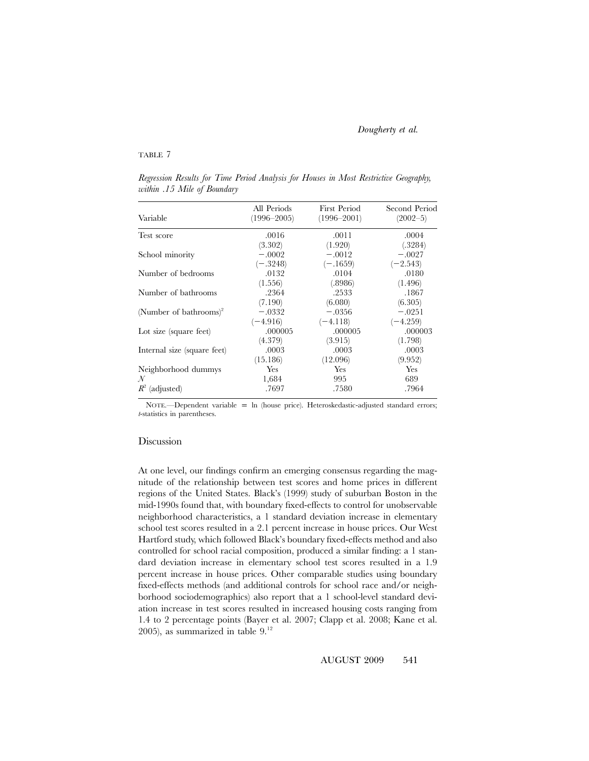#### TABLE 7

Variable All Periods (1996–2005) First Period (1996–2001) Second Period  $(2002-5)$ Test score  $.0016$ (3.302) .0011 (1.920) .0004 (.3284) School minority  $-.0002$  $(-.3248)$ -.0012  $(-.1659)$ -.0027  $(-2.543)$ Number of bedrooms .0132 (1.556) .0104 (.8986) .0180 (1.496) Number of bathrooms .2364 (7.190) .2533 (6.080) .1867 (6.305) (Number of bathrooms)<sup>2</sup> .0332  $(-4.916)$ -.0356  $(-4.118)$  $-.0251$  $(-4.259)$ Lot size (square feet) .000005 (4.379) .000005 (3.915) .000003 (1.798) Internal size (square feet) .0003 (15.186) .0003 (12.096) .0003 (9.952) Neighborhood dummys Yes Yes Yes *N* 1,684 995 689 *R*<sup>2</sup> (adjusted) .7697 .7580 .7964

*Regression Results for Time Period Analysis for Houses in Most Restrictive Geography, within .15 Mile of Boundary*

NOTE.—Dependent variable =  $\ln$  (house price). Heteroskedastic-adjusted standard errors; *t*-statistics in parentheses.

#### Discussion

At one level, our findings confirm an emerging consensus regarding the magnitude of the relationship between test scores and home prices in different regions of the United States. Black's (1999) study of suburban Boston in the mid-1990s found that, with boundary fixed-effects to control for unobservable neighborhood characteristics, a 1 standard deviation increase in elementary school test scores resulted in a 2.1 percent increase in house prices. Our West Hartford study, which followed Black's boundary fixed-effects method and also controlled for school racial composition, produced a similar finding: a 1 standard deviation increase in elementary school test scores resulted in a 1.9 percent increase in house prices. Other comparable studies using boundary fixed-effects methods (and additional controls for school race and/or neighborhood sociodemographics) also report that a 1 school-level standard deviation increase in test scores resulted in increased housing costs ranging from 1.4 to 2 percentage points (Bayer et al. 2007; Clapp et al. 2008; Kane et al. 2005), as summarized in table  $9.^{12}$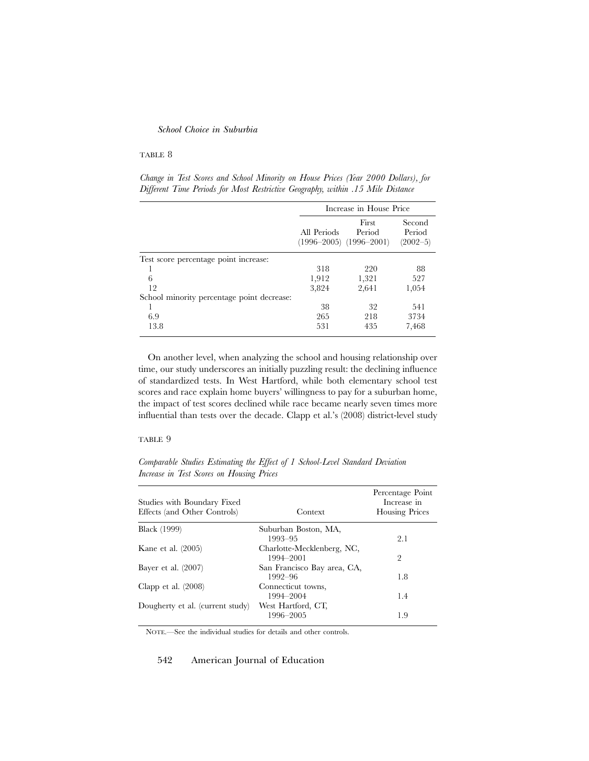#### TABLE 8

*Change in Test Scores and School Minority on House Prices (Year 2000 Dollars), for Different Time Periods for Most Restrictive Geography, within .15 Mile Distance*

|                                            | Increase in House Price |                                                |                                  |
|--------------------------------------------|-------------------------|------------------------------------------------|----------------------------------|
|                                            | All Periods             | First<br>Period<br>$(1996-2005)$ $(1996-2001)$ | Second<br>Period<br>$(2002 - 5)$ |
| Test score percentage point increase:      |                         |                                                |                                  |
|                                            | 318                     | 220                                            | 88                               |
| 6                                          | 1,912                   | 1,321                                          | 527                              |
| 12                                         | 3,824                   | 2,641                                          | 1,054                            |
| School minority percentage point decrease: |                         |                                                |                                  |
|                                            | 38                      | 32                                             | 541                              |
| 6.9                                        | 265                     | 218                                            | 3734                             |
| 13.8                                       | 531                     | 435                                            | 7,468                            |

On another level, when analyzing the school and housing relationship over time, our study underscores an initially puzzling result: the declining influence of standardized tests. In West Hartford, while both elementary school test scores and race explain home buyers' willingness to pay for a suburban home, the impact of test scores declined while race became nearly seven times more influential than tests over the decade. Clapp et al.'s (2008) district-level study

#### TABLE 9

*Comparable Studies Estimating the Effect of 1 School-Level Standard Deviation Increase in Test Scores on Housing Prices*

| Studies with Boundary Fixed<br>Effects (and Other Controls) | Context                                 | Percentage Point<br>Increase in<br><b>Housing Prices</b> |
|-------------------------------------------------------------|-----------------------------------------|----------------------------------------------------------|
| <b>Black</b> (1999)                                         | Suburban Boston, MA,                    |                                                          |
|                                                             | 1993-95                                 | 2.1                                                      |
| Kane et al. $(2005)$                                        | Charlotte-Mecklenberg, NC,<br>1994-2001 | 2                                                        |
| Bayer et al. $(2007)$                                       | San Francisco Bay area, CA,<br>1992-96  | 1.8                                                      |
| Clapp et al. $(2008)$                                       | Connecticut towns,<br>1994–2004         | 1.4                                                      |
|                                                             |                                         |                                                          |
| Dougherty et al. (current study)                            | West Hartford, CT,<br>1996-2005         | 1.9                                                      |

NOTE.—See the individual studies for details and other controls.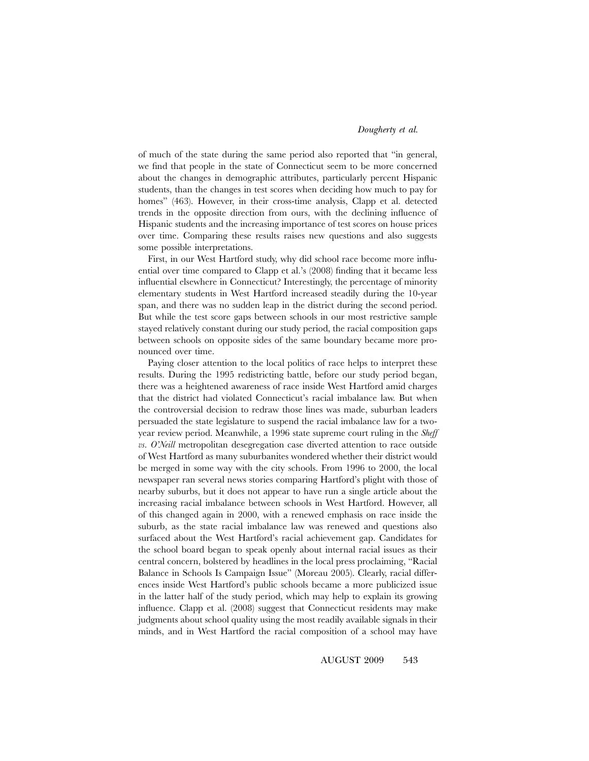of much of the state during the same period also reported that "in general, we find that people in the state of Connecticut seem to be more concerned about the changes in demographic attributes, particularly percent Hispanic students, than the changes in test scores when deciding how much to pay for homes" (463). However, in their cross-time analysis, Clapp et al. detected trends in the opposite direction from ours, with the declining influence of Hispanic students and the increasing importance of test scores on house prices over time. Comparing these results raises new questions and also suggests some possible interpretations.

First, in our West Hartford study, why did school race become more influential over time compared to Clapp et al.'s (2008) finding that it became less influential elsewhere in Connecticut? Interestingly, the percentage of minority elementary students in West Hartford increased steadily during the 10-year span, and there was no sudden leap in the district during the second period. But while the test score gaps between schools in our most restrictive sample stayed relatively constant during our study period, the racial composition gaps between schools on opposite sides of the same boundary became more pronounced over time.

Paying closer attention to the local politics of race helps to interpret these results. During the 1995 redistricting battle, before our study period began, there was a heightened awareness of race inside West Hartford amid charges that the district had violated Connecticut's racial imbalance law. But when the controversial decision to redraw those lines was made, suburban leaders persuaded the state legislature to suspend the racial imbalance law for a twoyear review period. Meanwhile, a 1996 state supreme court ruling in the *Sheff vs. O'Neill* metropolitan desegregation case diverted attention to race outside of West Hartford as many suburbanites wondered whether their district would be merged in some way with the city schools. From 1996 to 2000, the local newspaper ran several news stories comparing Hartford's plight with those of nearby suburbs, but it does not appear to have run a single article about the increasing racial imbalance between schools in West Hartford. However, all of this changed again in 2000, with a renewed emphasis on race inside the suburb, as the state racial imbalance law was renewed and questions also surfaced about the West Hartford's racial achievement gap. Candidates for the school board began to speak openly about internal racial issues as their central concern, bolstered by headlines in the local press proclaiming, "Racial Balance in Schools Is Campaign Issue" (Moreau 2005). Clearly, racial differences inside West Hartford's public schools became a more publicized issue in the latter half of the study period, which may help to explain its growing influence. Clapp et al. (2008) suggest that Connecticut residents may make judgments about school quality using the most readily available signals in their minds, and in West Hartford the racial composition of a school may have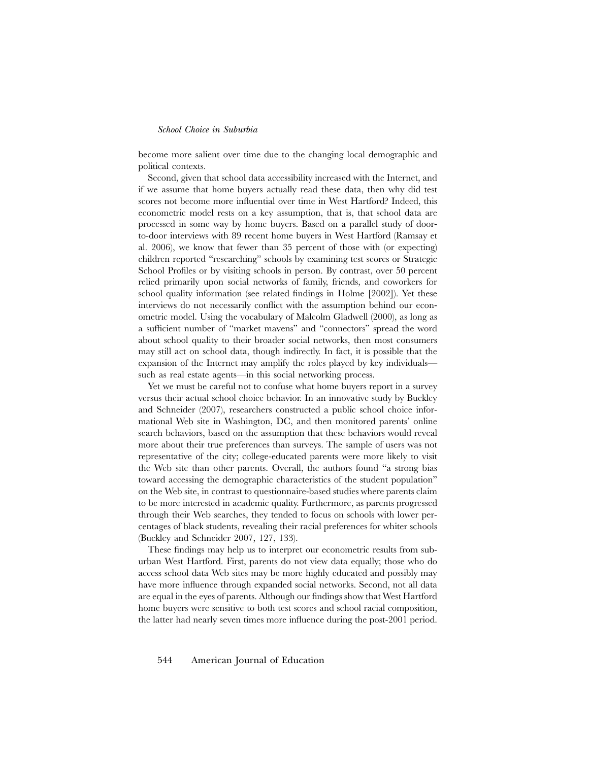become more salient over time due to the changing local demographic and political contexts.

Second, given that school data accessibility increased with the Internet, and if we assume that home buyers actually read these data, then why did test scores not become more influential over time in West Hartford? Indeed, this econometric model rests on a key assumption, that is, that school data are processed in some way by home buyers. Based on a parallel study of doorto-door interviews with 89 recent home buyers in West Hartford (Ramsay et al. 2006), we know that fewer than 35 percent of those with (or expecting) children reported "researching" schools by examining test scores or Strategic School Profiles or by visiting schools in person. By contrast, over 50 percent relied primarily upon social networks of family, friends, and coworkers for school quality information (see related findings in Holme [2002]). Yet these interviews do not necessarily conflict with the assumption behind our econometric model. Using the vocabulary of Malcolm Gladwell (2000), as long as a sufficient number of "market mavens" and "connectors" spread the word about school quality to their broader social networks, then most consumers may still act on school data, though indirectly. In fact, it is possible that the expansion of the Internet may amplify the roles played by key individuals such as real estate agents—in this social networking process.

Yet we must be careful not to confuse what home buyers report in a survey versus their actual school choice behavior. In an innovative study by Buckley and Schneider (2007), researchers constructed a public school choice informational Web site in Washington, DC, and then monitored parents' online search behaviors, based on the assumption that these behaviors would reveal more about their true preferences than surveys. The sample of users was not representative of the city; college-educated parents were more likely to visit the Web site than other parents. Overall, the authors found "a strong bias toward accessing the demographic characteristics of the student population" on the Web site, in contrast to questionnaire-based studies where parents claim to be more interested in academic quality. Furthermore, as parents progressed through their Web searches, they tended to focus on schools with lower percentages of black students, revealing their racial preferences for whiter schools (Buckley and Schneider 2007, 127, 133).

These findings may help us to interpret our econometric results from suburban West Hartford. First, parents do not view data equally; those who do access school data Web sites may be more highly educated and possibly may have more influence through expanded social networks. Second, not all data are equal in the eyes of parents. Although our findings show that West Hartford home buyers were sensitive to both test scores and school racial composition, the latter had nearly seven times more influence during the post-2001 period.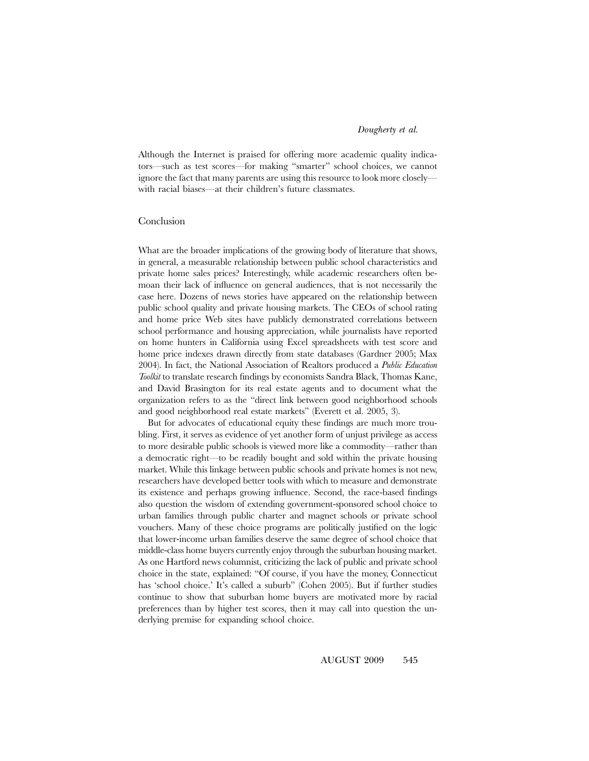Although the Internet is praised for offering more academic quality indicators—such as test scores—for making "smarter" school choices, we cannot ignore the fact that many parents are using this resource to look more closely with racial biases—at their children's future classmates.

#### Conclusion

What are the broader implications of the growing body of literature that shows, in general, a measurable relationship between public school characteristics and private home sales prices? Interestingly, while academic researchers often bemoan their lack of influence on general audiences, that is not necessarily the case here. Dozens of news stories have appeared on the relationship between public school quality and private housing markets. The CEOs of school rating and home price Web sites have publicly demonstrated correlations between school performance and housing appreciation, while journalists have reported on home hunters in California using Excel spreadsheets with test score and home price indexes drawn directly from state databases (Gardner 2005; Max 2004). In fact, the National Association of Realtors produced a *Public Education Toolkit* to translate research findings by economists Sandra Black, Thomas Kane, and David Brasington for its real estate agents and to document what the organization refers to as the "direct link between good neighborhood schools and good neighborhood real estate markets" (Everett et al. 2005, 3).

But for advocates of educational equity these findings are much more troubling. First, it serves as evidence of yet another form of unjust privilege as access to more desirable public schools is viewed more like a commodity—rather than a democratic right—to be readily bought and sold within the private housing market. While this linkage between public schools and private homes is not new, researchers have developed better tools with which to measure and demonstrate its existence and perhaps growing influence. Second, the race-based findings also question the wisdom of extending government-sponsored school choice to urban families through public charter and magnet schools or private school vouchers. Many of these choice programs are politically justified on the logic that lower-income urban families deserve the same degree of school choice that middle-class home buyers currently enjoy through the suburban housing market. As one Hartford news columnist, criticizing the lack of public and private school choice in the state, explained: "Of course, if you have the money, Connecticut has 'school choice.' It's called a suburb" (Cohen 2005). But if further studies continue to show that suburban home buyers are motivated more by racial preferences than by higher test scores, then it may call into question the underlying premise for expanding school choice.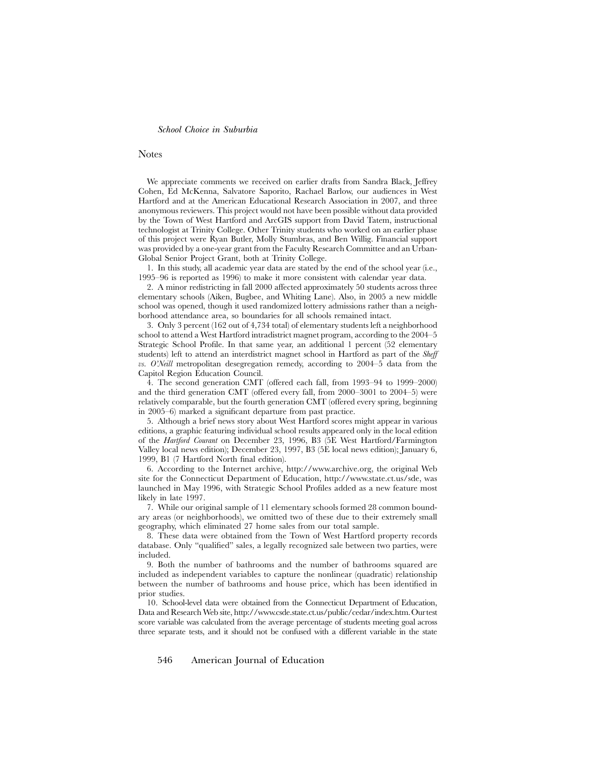#### Notes

We appreciate comments we received on earlier drafts from Sandra Black, Jeffrey Cohen, Ed McKenna, Salvatore Saporito, Rachael Barlow, our audiences in West Hartford and at the American Educational Research Association in 2007, and three anonymous reviewers. This project would not have been possible without data provided by the Town of West Hartford and ArcGIS support from David Tatem, instructional technologist at Trinity College. Other Trinity students who worked on an earlier phase of this project were Ryan Butler, Molly Stumbras, and Ben Willig. Financial support was provided by a one-year grant from the Faculty Research Committee and an Urban-Global Senior Project Grant, both at Trinity College.

1. In this study, all academic year data are stated by the end of the school year (i.e., 1995–96 is reported as 1996) to make it more consistent with calendar year data.

2. A minor redistricting in fall 2000 affected approximately 50 students across three elementary schools (Aiken, Bugbee, and Whiting Lane). Also, in 2005 a new middle school was opened, though it used randomized lottery admissions rather than a neighborhood attendance area, so boundaries for all schools remained intact.

3. Only 3 percent (162 out of 4,734 total) of elementary students left a neighborhood school to attend a West Hartford intradistrict magnet program, according to the 2004–5 Strategic School Profile. In that same year, an additional 1 percent (52 elementary students) left to attend an interdistrict magnet school in Hartford as part of the *Sheff vs. O'Neill* metropolitan desegregation remedy, according to 2004–5 data from the Capitol Region Education Council.

4. The second generation CMT (offered each fall, from 1993–94 to 1999–2000) and the third generation CMT (offered every fall, from 2000–3001 to 2004–5) were relatively comparable, but the fourth generation CMT (offered every spring, beginning in 2005–6) marked a significant departure from past practice.

5. Although a brief news story about West Hartford scores might appear in various editions, a graphic featuring individual school results appeared only in the local edition of the *Hartford Courant* on December 23, 1996, B3 (5E West Hartford/Farmington Valley local news edition); December 23, 1997, B3 (5E local news edition); January 6, 1999, B1 (7 Hartford North final edition).

6. According to the Internet archive, http://www.archive.org, the original Web site for the Connecticut Department of Education, http://www.state.ct.us/sde, was launched in May 1996, with Strategic School Profiles added as a new feature most likely in late 1997.

7. While our original sample of 11 elementary schools formed 28 common boundary areas (or neighborhoods), we omitted two of these due to their extremely small geography, which eliminated 27 home sales from our total sample.

8. These data were obtained from the Town of West Hartford property records database. Only "qualified" sales, a legally recognized sale between two parties, were included.

9. Both the number of bathrooms and the number of bathrooms squared are included as independent variables to capture the nonlinear (quadratic) relationship between the number of bathrooms and house price, which has been identified in prior studies.

10. School-level data were obtained from the Connecticut Department of Education, Data and Research Web site, http://www.csde.state.ct.us/public/cedar/index.htm.Ourtest score variable was calculated from the average percentage of students meeting goal across three separate tests, and it should not be confused with a different variable in the state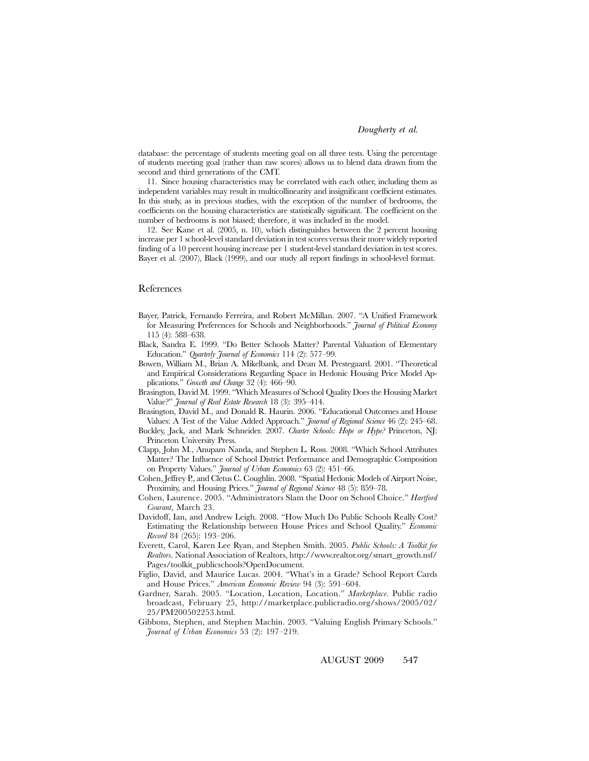database: the percentage of students meeting goal on all three tests. Using the percentage of students meeting goal (rather than raw scores) allows us to blend data drawn from the second and third generations of the CMT.

11. Since housing characteristics may be correlated with each other, including them as independent variables may result in multicollinearity and insignificant coefficient estimates. In this study, as in previous studies, with the exception of the number of bedrooms, the coefficients on the housing characteristics are statistically significant. The coefficient on the number of bedrooms is not biased; therefore, it was included in the model.

12. See Kane et al. (2005, n. 10), which distinguishes between the 2 percent housing increase per 1 school-level standard deviation in test scores versus their more widely reported finding of a 10 percent housing increase per 1 student-level standard deviation in test scores. Bayer et al. (2007), Black (1999), and our study all report findings in school-level format.

#### References

- Bayer, Patrick, Fernando Ferreira, and Robert McMillan. 2007. "A Unified Framework for Measuring Preferences for Schools and Neighborhoods." *Journal of Political Economy* 115 (4): 588–638.
- Black, Sandra E. 1999. "Do Better Schools Matter? Parental Valuation of Elementary Education." *Quarterly Journal of Economics* 114 (2): 577–99.
- Bowen, William M., Brian A. Mikelbank, and Dean M. Prestegaard. 2001. "Theoretical and Empirical Considerations Regarding Space in Hedonic Housing Price Model Applications." *Growth and Change* 32 (4): 466–90.
- Brasington, David M. 1999. "Which Measures of School Quality Does the Housing Market Value?" *Journal of Real Estate Research* 18 (3): 395–414.
- Brasington, David M., and Donald R. Haurin. 2006. "Educational Outcomes and House Values: A Test of the Value Added Approach." *Journal of Regional Science* 46 (2): 245–68.
- Buckley, Jack, and Mark Schneider. 2007. *Charter Schools: Hope or Hype?* Princeton, NJ: Princeton University Press.
- Clapp, John M., Anupam Nanda, and Stephen L. Ross. 2008. "Which School Attributes Matter? The Influence of School District Performance and Demographic Composition on Property Values." *Journal of Urban Economics* 63 (2): 451–66.
- Cohen, Jeffrey P., and Cletus C. Coughlin. 2008. "Spatial Hedonic Models of Airport Noise, Proximity, and Housing Prices." *Journal of Regional Science* 48 (5): 859–78.
- Cohen, Laurence. 2005. "Administrators Slam the Door on School Choice." *Hartford Courant*, March 23.
- Davidoff, Ian, and Andrew Leigh. 2008. "How Much Do Public Schools Really Cost? Estimating the Relationship between House Prices and School Quality." *Economic Record* 84 (265): 193–206.
- Everett, Carol, Karen Lee Ryan, and Stephen Smith. 2005. *Public Schools: A Toolkit for Realtors*. National Association of Realtors, http://www.realtor.org/smart\_growth.nsf/ Pages/toolkit\_publicschools?OpenDocument.
- Figlio, David, and Maurice Lucas. 2004. "What's in a Grade? School Report Cards and House Prices." *American Economic Review* 94 (3): 591–604.
- Gardner, Sarah. 2005. "Location, Location, Location." *Marketplace*. Public radio broadcast, February 25, http://marketplace.publicradio.org/shows/2005/02/ 25/PM200502253.html.
- Gibbons, Stephen, and Stephen Machin. 2003. "Valuing English Primary Schools." *Journal of Urban Economics* 53 (2): 197–219.